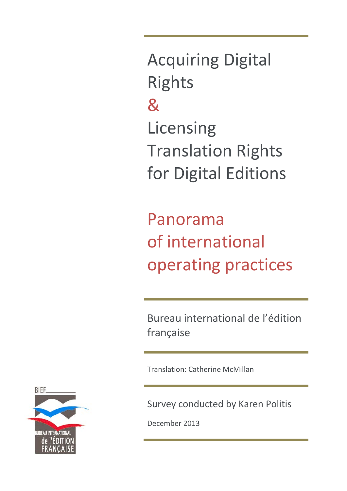Acquiring Digital Rights & Licensing Translation Rights for Digital Editions

Panorama of international operating practices

Bureau international de l'édition française

Translation: Catherine McMillan

Survey conducted by Karen Politis

December 2013

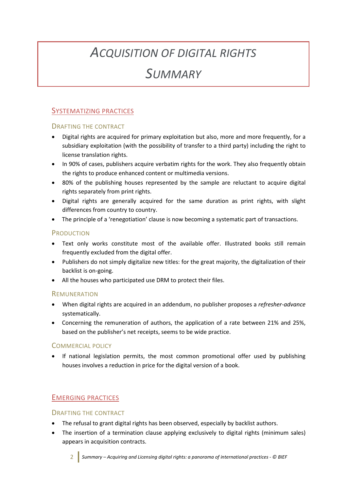# *ACQUISITION OF DIGITAL RIGHTS*

# *SUMMARY*

# SYSTEMATIZING PRACTICES

#### DRAFTING THE CONTRACT

- Digital rights are acquired for primary exploitation but also, more and more frequently, for a subsidiary exploitation (with the possibility of transfer to a third party) including the right to license translation rights.
- In 90% of cases, publishers acquire verbatim rights for the work. They also frequently obtain the rights to produce enhanced content or multimedia versions.
- 80% of the publishing houses represented by the sample are reluctant to acquire digital rights separately from print rights.
- Digital rights are generally acquired for the same duration as print rights, with slight differences from country to country.
- The principle of a 'renegotiation' clause is now becoming a systematic part of transactions.

### PRODUCTION

- Text only works constitute most of the available offer. Illustrated books still remain frequently excluded from the digital offer.
- Publishers do not simply digitalize new titles: for the great majority, the digitalization of their backlist is on-going.
- All the houses who participated use DRM to protect their files.

### REMUNERATION

- When digital rights are acquired in an addendum, no publisher proposes a *refresher-advance* systematically.
- Concerning the remuneration of authors, the application of a rate between 21% and 25%, based on the publisher's net receipts, seems to be wide practice.

### COMMERCIAL POLICY

• If national legislation permits, the most common promotional offer used by publishing houses involves a reduction in price for the digital version of a book.

# EMERGING PRACTICES

### DRAFTING THE CONTRACT

- The refusal to grant digital rights has been observed, especially by backlist authors.
- The insertion of a termination clause applying exclusively to digital rights (minimum sales) appears in acquisition contracts.

2 *Summary – Acquiring and Licensing digital rights: a panorama of international practices - © BIEF*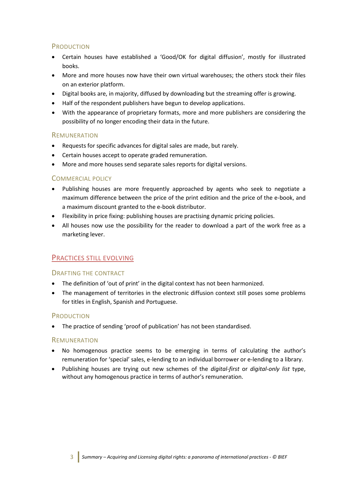## PRODUCTION

- Certain houses have established a 'Good/OK for digital diffusion', mostly for illustrated books.
- More and more houses now have their own virtual warehouses; the others stock their files on an exterior platform.
- Digital books are, in majority, diffused by downloading but the streaming offer is growing.
- Half of the respondent publishers have begun to develop applications.
- With the appearance of proprietary formats, more and more publishers are considering the possibility of no longer encoding their data in the future.

### REMUNERATION

- Requests for specific advances for digital sales are made, but rarely.
- Certain houses accept to operate graded remuneration.
- More and more houses send separate sales reports for digital versions.

#### COMMERCIAL POLICY

- Publishing houses are more frequently approached by agents who seek to negotiate a maximum difference between the price of the print edition and the price of the e-book, and a maximum discount granted to the e-book distributor.
- Flexibility in price fixing: publishing houses are practising dynamic pricing policies.
- All houses now use the possibility for the reader to download a part of the work free as a marketing lever.

# PRACTICES STILL EVOLVING

### DRAFTING THE CONTRACT

- The definition of 'out of print' in the digital context has not been harmonized.
- The management of territories in the electronic diffusion context still poses some problems for titles in English, Spanish and Portuguese.

#### **PRODUCTION**

• The practice of sending 'proof of publication' has not been standardised.

#### **REMUNERATION**

- No homogenous practice seems to be emerging in terms of calculating the author's remuneration for 'special' sales, e-lending to an individual borrower or e-lending to a library.
- Publishing houses are trying out new schemes of the *digital-first* or *digital-only list* type, without any homogenous practice in terms of author's remuneration.